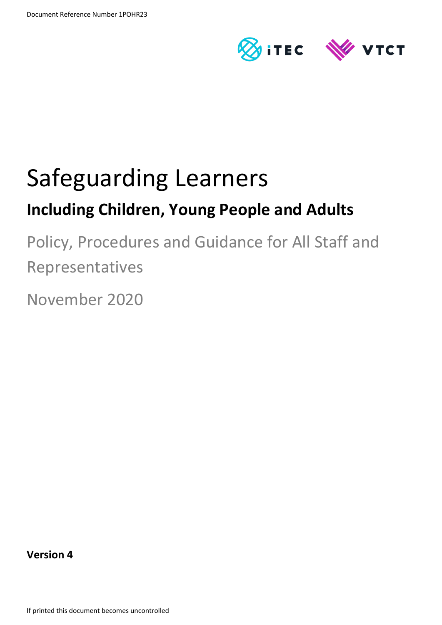



# Safeguarding Learners

## **Including Children, Young People and Adults**

Policy, Procedures and Guidance for All Staff and Representatives

November 2020

**Version 4**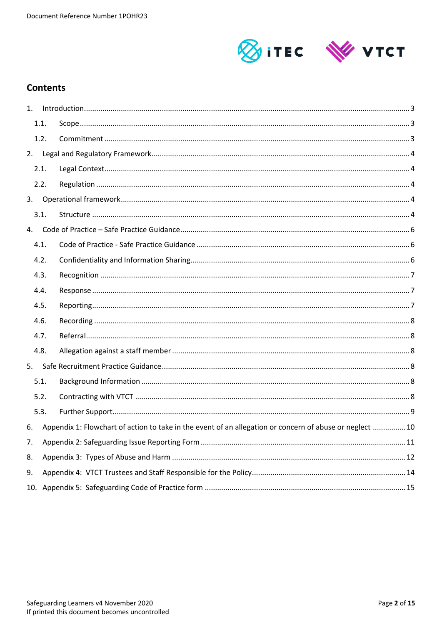

## **Contents**

| 1. |      |                                                                                                         |  |  |  |  |
|----|------|---------------------------------------------------------------------------------------------------------|--|--|--|--|
|    | 1.1. |                                                                                                         |  |  |  |  |
|    | 1.2. |                                                                                                         |  |  |  |  |
| 2. |      |                                                                                                         |  |  |  |  |
|    | 2.1. |                                                                                                         |  |  |  |  |
|    | 2.2. |                                                                                                         |  |  |  |  |
| 3. |      |                                                                                                         |  |  |  |  |
|    | 3.1. |                                                                                                         |  |  |  |  |
| 4. |      |                                                                                                         |  |  |  |  |
|    | 4.1. |                                                                                                         |  |  |  |  |
|    | 4.2. |                                                                                                         |  |  |  |  |
|    | 4.3. |                                                                                                         |  |  |  |  |
|    | 4.4. |                                                                                                         |  |  |  |  |
|    | 4.5. |                                                                                                         |  |  |  |  |
|    | 4.6. |                                                                                                         |  |  |  |  |
|    | 4.7. |                                                                                                         |  |  |  |  |
|    | 4.8. |                                                                                                         |  |  |  |  |
| 5. |      |                                                                                                         |  |  |  |  |
|    | 5.1. |                                                                                                         |  |  |  |  |
|    | 5.2. |                                                                                                         |  |  |  |  |
|    | 5.3. |                                                                                                         |  |  |  |  |
| 6. |      | Appendix 1: Flowchart of action to take in the event of an allegation or concern of abuse or neglect 10 |  |  |  |  |
| 7. |      |                                                                                                         |  |  |  |  |
| 8. |      |                                                                                                         |  |  |  |  |
| 9. |      |                                                                                                         |  |  |  |  |
|    |      |                                                                                                         |  |  |  |  |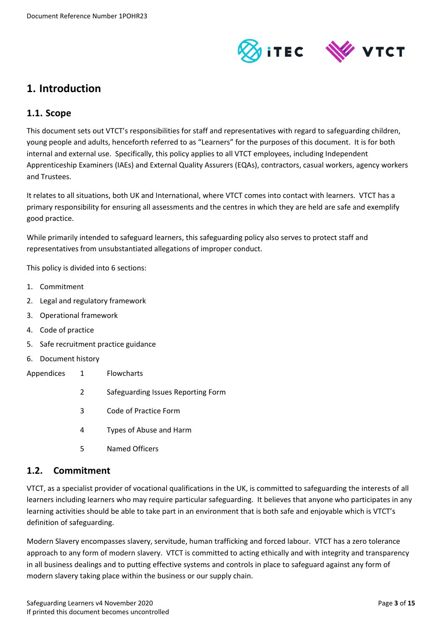

## <span id="page-2-0"></span>**1. Introduction**

#### <span id="page-2-1"></span>**1.1. Scope**

This document sets out VTCT's responsibilities for staff and representatives with regard to safeguarding children, young people and adults, henceforth referred to as "Learners" for the purposes of this document. It is for both internal and external use. Specifically, this policy applies to all VTCT employees, including Independent Apprenticeship Examiners (IAEs) and External Quality Assurers (EQAs), contractors, casual workers, agency workers and Trustees.

It relates to all situations, both UK and International, where VTCT comes into contact with learners. VTCT has a primary responsibility for ensuring all assessments and the centres in which they are held are safe and exemplify good practice.

While primarily intended to safeguard learners, this safeguarding policy also serves to protect staff and representatives from unsubstantiated allegations of improper conduct.

This policy is divided into 6 sections:

- 1. Commitment
- 2. Legal and regulatory framework
- 3. Operational framework
- 4. Code of practice
- 5. Safe recruitment practice guidance
- 6. Document history
- Appendices 1 Flowcharts
	- 2 Safeguarding Issues Reporting Form
	- 3 Code of Practice Form
	- 4 Types of Abuse and Harm
	- 5 Named Officers

#### <span id="page-2-2"></span>**1.2. Commitment**

VTCT, as a specialist provider of vocational qualifications in the UK, is committed to safeguarding the interests of all learners including learners who may require particular safeguarding. It believes that anyone who participates in any learning activities should be able to take part in an environment that is both safe and enjoyable which is VTCT's definition of safeguarding.

Modern Slavery encompasses slavery, servitude, human trafficking and forced labour. VTCT has a zero tolerance approach to any form of modern slavery. VTCT is committed to acting ethically and with integrity and transparency in all business dealings and to putting effective systems and controls in place to safeguard against any form of modern slavery taking place within the business or our supply chain.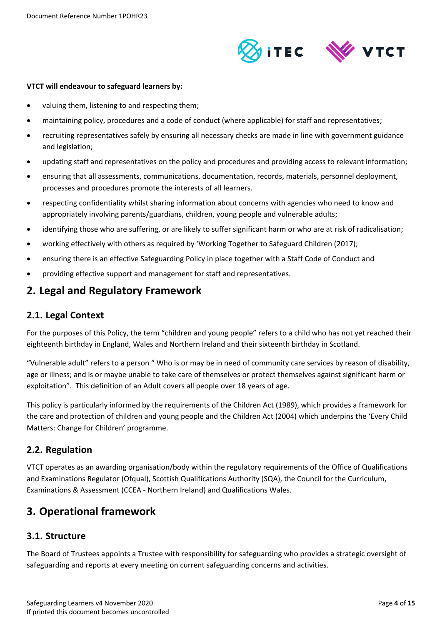

#### **VTCT will endeavour to safeguard learners by:**

- valuing them, listening to and respecting them;
- maintaining policy, procedures and a code of conduct (where applicable) for staff and representatives;
- recruiting representatives safely by ensuring all necessary checks are made in line with government guidance and legislation;
- updating staff and representatives on the policy and procedures and providing access to relevant information;
- ensuring that all assessments, communications, documentation, records, materials, personnel deployment, processes and procedures promote the interests of all learners.
- respecting confidentiality whilst sharing information about concerns with agencies who need to know and appropriately involving parents/guardians, children, young people and vulnerable adults;
- identifying those who are suffering, or are likely to suffer significant harm or who are at risk of radicalisation;
- working effectively with others as required by 'Working Together to Safeguard Children (2017);
- ensuring there is an effective Safeguarding Policy in place together with a Staff Code of Conduct and
- providing effective support and management for staff and representatives.

### <span id="page-3-0"></span>**2. Legal and Regulatory Framework**

#### <span id="page-3-1"></span>**2.1. Legal Context**

For the purposes of this Policy, the term "children and young people" refers to a child who has not yet reached their eighteenth birthday in England, Wales and Northern Ireland and their sixteenth birthday in Scotland.

"Vulnerable adult" refers to a person " Who is or may be in need of community care services by reason of disability, age or illness; and is or maybe unable to take care of themselves or protect themselves against significant harm or exploitation". This definition of an Adult covers all people over 18 years of age.

This policy is particularly informed by the requirements of the Children Act (1989), which provides a framework for the care and protection of children and young people and the Children Act (2004) which underpins the 'Every Child Matters: Change for Children' programme.

#### <span id="page-3-2"></span>**2.2. Regulation**

VTCT operates as an awarding organisation/body within the regulatory requirements of the Office of Qualifications and Examinations Regulator (Ofqual), Scottish Qualifications Authority (SQA), the Council for the Curriculum, Examinations & Assessment (CCEA - Northern Ireland) and Qualifications Wales.

## <span id="page-3-3"></span>**3. Operational framework**

#### <span id="page-3-4"></span>**3.1. Structure**

The Board of Trustees appoints a Trustee with responsibility for safeguarding who provides a strategic oversight of safeguarding and reports at every meeting on current safeguarding concerns and activities.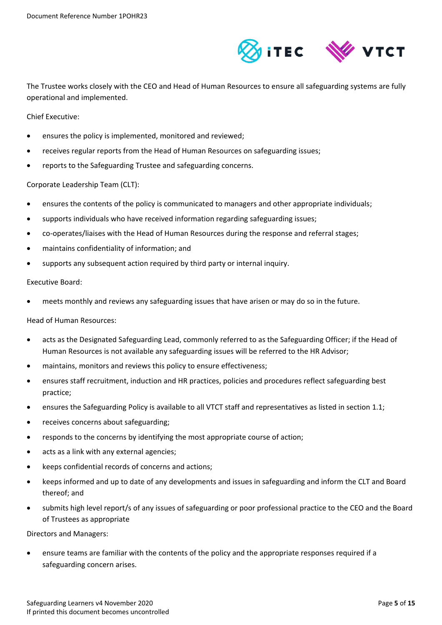

The Trustee works closely with the CEO and Head of Human Resources to ensure all safeguarding systems are fully operational and implemented.

Chief Executive:

- ensures the policy is implemented, monitored and reviewed;
- receives regular reports from the Head of Human Resources on safeguarding issues;
- reports to the Safeguarding Trustee and safeguarding concerns.

Corporate Leadership Team (CLT):

- ensures the contents of the policy is communicated to managers and other appropriate individuals;
- supports individuals who have received information regarding safeguarding issues;
- co-operates/liaises with the Head of Human Resources during the response and referral stages;
- maintains confidentiality of information; and
- supports any subsequent action required by third party or internal inquiry.

#### Executive Board:

meets monthly and reviews any safeguarding issues that have arisen or may do so in the future.

Head of Human Resources:

- acts as the Designated Safeguarding Lead, commonly referred to as the Safeguarding Officer; if the Head of Human Resources is not available any safeguarding issues will be referred to the HR Advisor;
- maintains, monitors and reviews this policy to ensure effectiveness;
- ensures staff recruitment, induction and HR practices, policies and procedures reflect safeguarding best practice;
- ensures the Safeguarding Policy is available to all VTCT staff and representatives as listed in section 1.1;
- receives concerns about safeguarding;
- responds to the concerns by identifying the most appropriate course of action;
- acts as a link with any external agencies;
- keeps confidential records of concerns and actions;
- keeps informed and up to date of any developments and issues in safeguarding and inform the CLT and Board thereof; and
- submits high level report/s of any issues of safeguarding or poor professional practice to the CEO and the Board of Trustees as appropriate

Directors and Managers:

 ensure teams are familiar with the contents of the policy and the appropriate responses required if a safeguarding concern arises.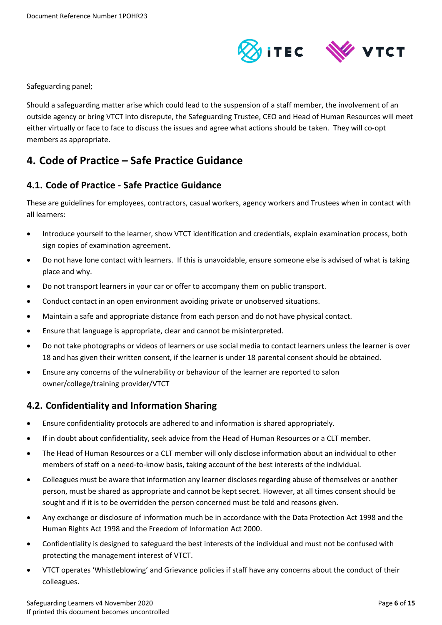

Safeguarding panel;

Should a safeguarding matter arise which could lead to the suspension of a staff member, the involvement of an outside agency or bring VTCT into disrepute, the Safeguarding Trustee, CEO and Head of Human Resources will meet either virtually or face to face to discuss the issues and agree what actions should be taken. They will co-opt members as appropriate.

## <span id="page-5-0"></span>**4. Code of Practice – Safe Practice Guidance**

#### <span id="page-5-1"></span>**4.1. Code of Practice - Safe Practice Guidance**

These are guidelines for employees, contractors, casual workers, agency workers and Trustees when in contact with all learners:

- Introduce yourself to the learner, show VTCT identification and credentials, explain examination process, both sign copies of examination agreement.
- Do not have lone contact with learners. If this is unavoidable, ensure someone else is advised of what is taking place and why.
- Do not transport learners in your car or offer to accompany them on public transport.
- Conduct contact in an open environment avoiding private or unobserved situations.
- Maintain a safe and appropriate distance from each person and do not have physical contact.
- Ensure that language is appropriate, clear and cannot be misinterpreted.
- Do not take photographs or videos of learners or use social media to contact learners unless the learner is over 18 and has given their written consent, if the learner is under 18 parental consent should be obtained.
- Ensure any concerns of the vulnerability or behaviour of the learner are reported to salon owner/college/training provider/VTCT

#### <span id="page-5-2"></span>**4.2. Confidentiality and Information Sharing**

- Ensure confidentiality protocols are adhered to and information is shared appropriately.
- If in doubt about confidentiality, seek advice from the Head of Human Resources or a CLT member.
- The Head of Human Resources or a CLT member will only disclose information about an individual to other members of staff on a need-to-know basis, taking account of the best interests of the individual.
- Colleagues must be aware that information any learner discloses regarding abuse of themselves or another person, must be shared as appropriate and cannot be kept secret. However, at all times consent should be sought and if it is to be overridden the person concerned must be told and reasons given.
- Any exchange or disclosure of information much be in accordance with the Data Protection Act 1998 and the Human Rights Act 1998 and the Freedom of Information Act 2000.
- Confidentiality is designed to safeguard the best interests of the individual and must not be confused with protecting the management interest of VTCT.
- VTCT operates 'Whistleblowing' and Grievance policies if staff have any concerns about the conduct of their colleagues.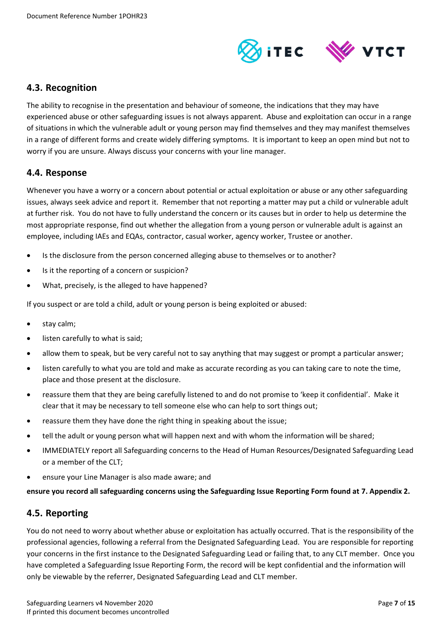

#### <span id="page-6-0"></span>**4.3. Recognition**

The ability to recognise in the presentation and behaviour of someone, the indications that they may have experienced abuse or other safeguarding issues is not always apparent. Abuse and exploitation can occur in a range of situations in which the vulnerable adult or young person may find themselves and they may manifest themselves in a range of different forms and create widely differing symptoms. It is important to keep an open mind but not to worry if you are unsure. Always discuss your concerns with your line manager.

#### <span id="page-6-1"></span>**4.4. Response**

Whenever you have a worry or a concern about potential or actual exploitation or abuse or any other safeguarding issues, always seek advice and report it. Remember that not reporting a matter may put a child or vulnerable adult at further risk. You do not have to fully understand the concern or its causes but in order to help us determine the most appropriate response, find out whether the allegation from a young person or vulnerable adult is against an employee, including IAEs and EQAs, contractor, casual worker, agency worker, Trustee or another.

- Is the disclosure from the person concerned alleging abuse to themselves or to another?
- Is it the reporting of a concern or suspicion?
- What, precisely, is the alleged to have happened?

If you suspect or are told a child, adult or young person is being exploited or abused:

- stay calm;
- listen carefully to what is said;
- allow them to speak, but be very careful not to say anything that may suggest or prompt a particular answer;
- listen carefully to what you are told and make as accurate recording as you can taking care to note the time, place and those present at the disclosure.
- reassure them that they are being carefully listened to and do not promise to 'keep it confidential'. Make it clear that it may be necessary to tell someone else who can help to sort things out;
- reassure them they have done the right thing in speaking about the issue;
- tell the adult or young person what will happen next and with whom the information will be shared;
- IMMEDIATELY report all Safeguarding concerns to the Head of Human Resources/Designated Safeguarding Lead or a member of the CLT;
- ensure your Line Manager is also made aware; and

**ensure you record all safeguarding concerns using the Safeguarding Issue Reporting Form found at [7.](#page-10-0) Appendix 2.** 

#### <span id="page-6-2"></span>**4.5. Reporting**

You do not need to worry about whether abuse or exploitation has actually occurred. That is the responsibility of the professional agencies, following a referral from the Designated Safeguarding Lead. You are responsible for reporting your concerns in the first instance to the Designated Safeguarding Lead or failing that, to any CLT member. Once you have completed a Safeguarding Issue Reporting Form, the record will be kept confidential and the information will only be viewable by the referrer, Designated Safeguarding Lead and CLT member.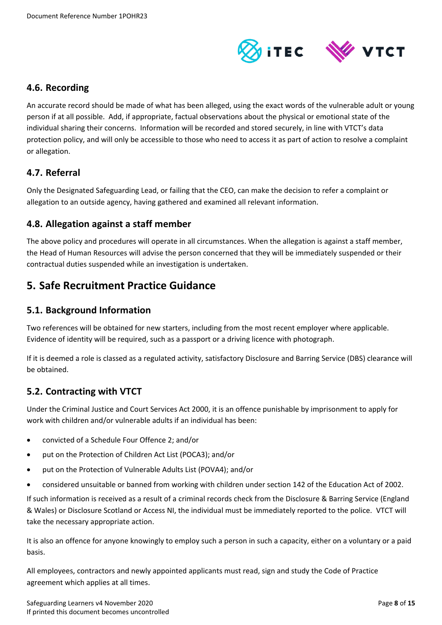

#### <span id="page-7-0"></span>**4.6. Recording**

An accurate record should be made of what has been alleged, using the exact words of the vulnerable adult or young person if at all possible. Add, if appropriate, factual observations about the physical or emotional state of the individual sharing their concerns. Information will be recorded and stored securely, in line with VTCT's data protection policy, and will only be accessible to those who need to access it as part of action to resolve a complaint or allegation.

#### <span id="page-7-1"></span>**4.7. Referral**

Only the Designated Safeguarding Lead, or failing that the CEO, can make the decision to refer a complaint or allegation to an outside agency, having gathered and examined all relevant information.

#### <span id="page-7-2"></span>**4.8. Allegation against a staff member**

The above policy and procedures will operate in all circumstances. When the allegation is against a staff member, the Head of Human Resources will advise the person concerned that they will be immediately suspended or their contractual duties suspended while an investigation is undertaken.

## <span id="page-7-3"></span>**5. Safe Recruitment Practice Guidance**

#### <span id="page-7-4"></span>**5.1. Background Information**

Two references will be obtained for new starters, including from the most recent employer where applicable. Evidence of identity will be required, such as a passport or a driving licence with photograph.

If it is deemed a role is classed as a regulated activity, satisfactory Disclosure and Barring Service (DBS) clearance will be obtained.

#### <span id="page-7-5"></span>**5.2. Contracting with VTCT**

Under the Criminal Justice and Court Services Act 2000, it is an offence punishable by imprisonment to apply for work with children and/or vulnerable adults if an individual has been:

- convicted of a Schedule Four Offence 2; and/or
- put on the Protection of Children Act List (POCA3); and/or
- put on the Protection of Vulnerable Adults List (POVA4); and/or
- considered unsuitable or banned from working with children under section 142 of the Education Act of 2002.

If such information is received as a result of a criminal records check from the Disclosure & Barring Service (England & Wales) or Disclosure Scotland or Access NI, the individual must be immediately reported to the police. VTCT will take the necessary appropriate action.

It is also an offence for anyone knowingly to employ such a person in such a capacity, either on a voluntary or a paid basis.

All employees, contractors and newly appointed applicants must read, sign and study the Code of Practice agreement which applies at all times.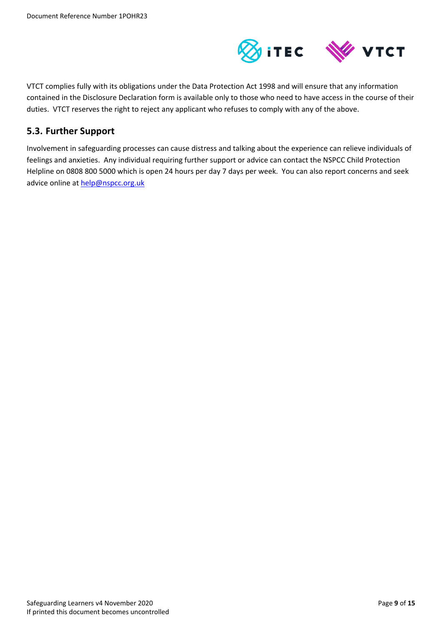

VTCT complies fully with its obligations under the Data Protection Act 1998 and will ensure that any information contained in the Disclosure Declaration form is available only to those who need to have access in the course of their duties. VTCT reserves the right to reject any applicant who refuses to comply with any of the above.

#### <span id="page-8-0"></span>**5.3. Further Support**

Involvement in safeguarding processes can cause distress and talking about the experience can relieve individuals of feelings and anxieties. Any individual requiring further support or advice can contact the NSPCC Child Protection Helpline on 0808 800 5000 which is open 24 hours per day 7 days per week. You can also report concerns and seek advice online at [help@nspcc.org.uk](mailto:help@nspcc.org.uk)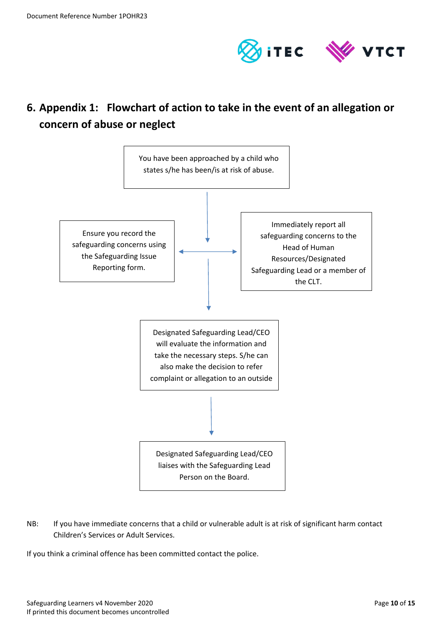

## <span id="page-9-0"></span>**6. Appendix 1: Flowchart of action to take in the event of an allegation or concern of abuse or neglect**



NB: If you have immediate concerns that a child or vulnerable adult is at risk of significant harm contact Children's Services or Adult Services.

If you think a criminal offence has been committed contact the police.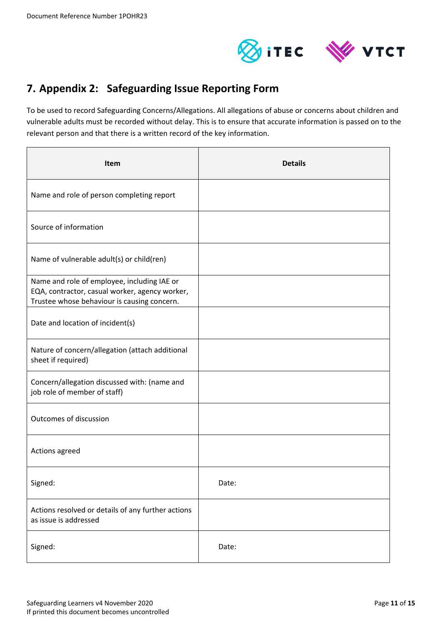

## <span id="page-10-0"></span>**7. Appendix 2: Safeguarding Issue Reporting Form**

To be used to record Safeguarding Concerns/Allegations. All allegations of abuse or concerns about children and vulnerable adults must be recorded without delay. This is to ensure that accurate information is passed on to the relevant person and that there is a written record of the key information.

| Item                                                                                                                                         | <b>Details</b> |
|----------------------------------------------------------------------------------------------------------------------------------------------|----------------|
| Name and role of person completing report                                                                                                    |                |
| Source of information                                                                                                                        |                |
| Name of vulnerable adult(s) or child(ren)                                                                                                    |                |
| Name and role of employee, including IAE or<br>EQA, contractor, casual worker, agency worker,<br>Trustee whose behaviour is causing concern. |                |
| Date and location of incident(s)                                                                                                             |                |
| Nature of concern/allegation (attach additional<br>sheet if required)                                                                        |                |
| Concern/allegation discussed with: (name and<br>job role of member of staff)                                                                 |                |
| Outcomes of discussion                                                                                                                       |                |
| Actions agreed                                                                                                                               |                |
| Signed:                                                                                                                                      | Date:          |
| Actions resolved or details of any further actions<br>as issue is addressed                                                                  |                |
| Signed:                                                                                                                                      | Date:          |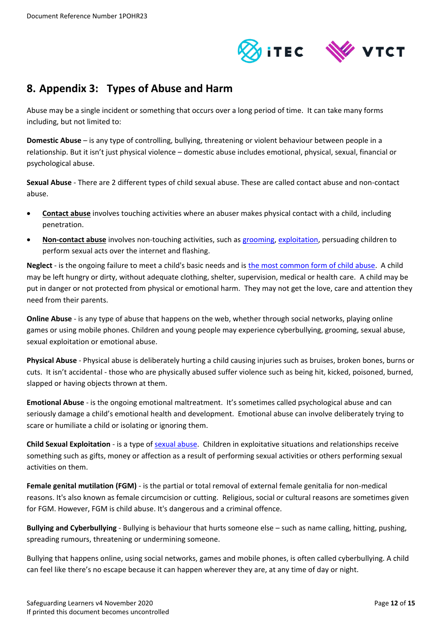

## <span id="page-11-0"></span>**8. Appendix 3: Types of Abuse and Harm**

Abuse may be a single incident or something that occurs over a long period of time. It can take many forms including, but not limited to:

**Domestic Abuse** – is any type of controlling, bullying, threatening or violent behaviour between people in a relationship. But it isn't just physical violence – domestic abuse includes emotional, physical, sexual, financial or psychological abuse.

**Sexual Abuse** - There are 2 different types of child sexual abuse. These are called contact abuse and non-contact abuse.

- **Contact abuse** involves touching activities where an abuser makes physical contact with a child, including penetration.
- **Non-contact abuse** involves non-touching activities, such as [grooming,](https://www.nspcc.org.uk/preventing-abuse/child-abuse-and-neglect/grooming/) [exploitation,](https://www.nspcc.org.uk/preventing-abuse/child-abuse-and-neglect/child-sexual-exploitation/) persuading children to perform sexual acts over the internet and flashing.

**Neglect** - is the ongoing failure to meet a child's basic needs and is [the most common form of child abuse.](https://www.nspcc.org.uk/preventing-abuse/child-abuse-and-neglect/neglect/child-neglect-facts-statistics/) A child may be left hungry or dirty, without adequate clothing, shelter, supervision, medical or health care. A child may be put in danger or not protected from physical or emotional harm. They may not get the love, care and attention they need from their parents.

**Online Abuse** - is any type of abuse that happens on the web, whether through social networks, playing online games or using mobile phones. Children and young people may experience cyberbullying, grooming, sexual abuse, sexual exploitation or emotional abuse.

**Physical Abuse** - Physical abuse is deliberately hurting a child causing injuries such as bruises, broken bones, burns or cuts. It isn't accidental - those who are physically abused suffer violence such as being hit, kicked, poisoned, burned, slapped or having objects thrown at them.

**Emotional Abuse** - is the ongoing emotional maltreatment. It's sometimes called psychological abuse and can seriously damage a child's emotional health and development. Emotional abuse can involve deliberately trying to scare or humiliate a child or isolating or ignoring them.

**Child Sexual Exploitation** - is a type of [sexual abuse.](https://www.nspcc.org.uk/preventing-abuse/child-abuse-and-neglect/child-sexual-abuse/) Children in exploitative situations and relationships receive something such as gifts, money or affection as a result of performing sexual activities or others performing sexual activities on them.

**Female genital mutilation (FGM)** - is the partial or total removal of external female genitalia for non-medical reasons. It's also known as female circumcision or cutting. Religious, social or cultural reasons are sometimes given for FGM. However, FGM is child abuse. It's dangerous and a criminal offence.

**Bullying and Cyberbullying** - Bullying is behaviour that hurts someone else – such as name calling, hitting, pushing, spreading rumours, threatening or undermining someone.

Bullying that happens online, using social networks, games and mobile phones, is often called cyberbullying. A child can feel like there's no escape because it can happen wherever they are, at any time of day or night.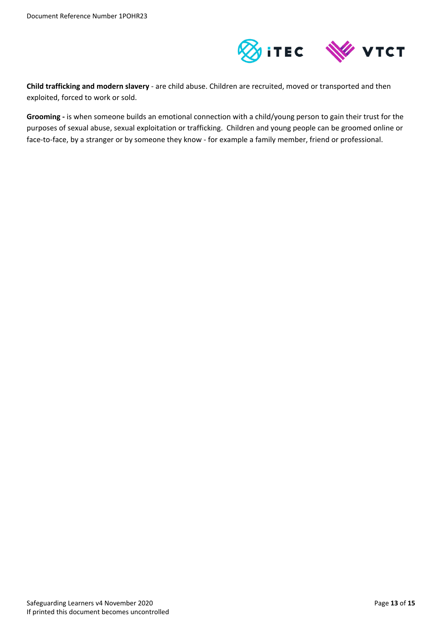

**Child trafficking and modern slavery** - are child abuse. Children are recruited, moved or transported and then exploited, forced to work or sold.

**Grooming -** is when someone builds an emotional connection with a child/young person to gain their trust for the purposes of [sexual abuse,](https://www.nspcc.org.uk/preventing-abuse/child-abuse-and-neglect/child-sexual-abuse/) [sexual exploitation](https://www.nspcc.org.uk/preventing-abuse/child-abuse-and-neglect/child-sexual-exploitation/) or [trafficking.](https://www.nspcc.org.uk/preventing-abuse/child-abuse-and-neglect/child-trafficking/) Children and young people can be groomed online or face-to-face, by a stranger or by someone they know - for example a family member, friend or professional.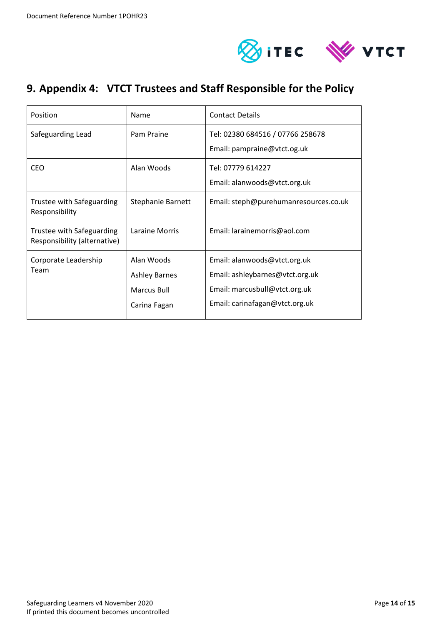

## <span id="page-13-0"></span>**9. Appendix 4: VTCT Trustees and Staff Responsible for the Policy**

| Position                                                  | Name                                                              | <b>Contact Details</b>                                                                                                             |
|-----------------------------------------------------------|-------------------------------------------------------------------|------------------------------------------------------------------------------------------------------------------------------------|
| Safeguarding Lead                                         | Pam Praine                                                        | Tel: 02380 684516 / 07766 258678<br>Email: pampraine@vtct.og.uk                                                                    |
| CEO                                                       | Alan Woods                                                        | Tel: 07779 614227<br>Email: alanwoods@vtct.org.uk                                                                                  |
| Trustee with Safeguarding<br>Responsibility               | Stephanie Barnett                                                 | Email: steph@purehumanresources.co.uk                                                                                              |
| Trustee with Safeguarding<br>Responsibility (alternative) | Laraine Morris                                                    | Email: larainemorris@aol.com                                                                                                       |
| Corporate Leadership<br>Team                              | Alan Woods<br><b>Ashley Barnes</b><br>Marcus Bull<br>Carina Fagan | Email: alanwoods@vtct.org.uk<br>Email: ashleybarnes@vtct.org.uk<br>Email: marcusbull@vtct.org.uk<br>Email: carinafagan@vtct.org.uk |